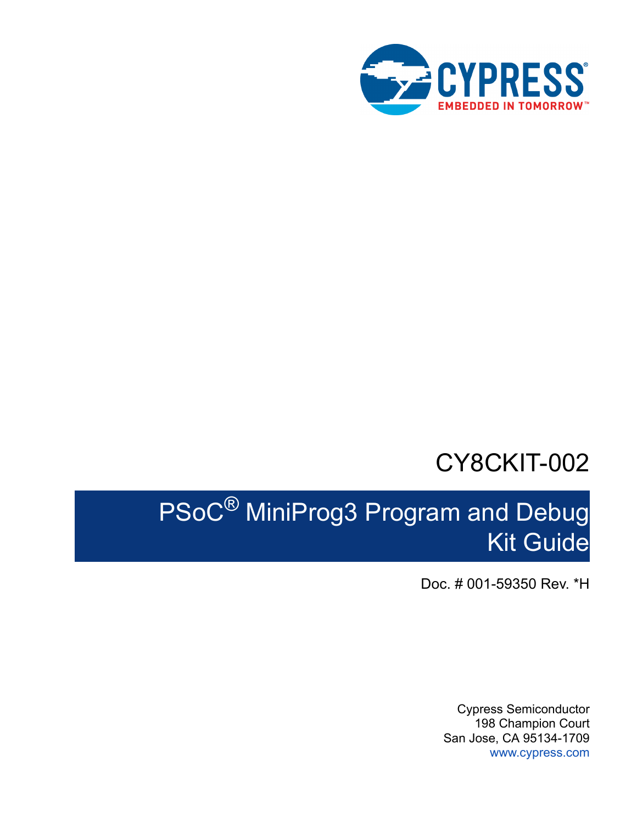

## CY8CKIT-002

# PSoC® MiniProg3 Program and Debug Kit Guide

Doc. # 001-59350 Rev. \*H

Cypress Semiconductor 198 Champion Court San Jose, CA 95134-1709 [www.cypress.com](http://www.cypress.com)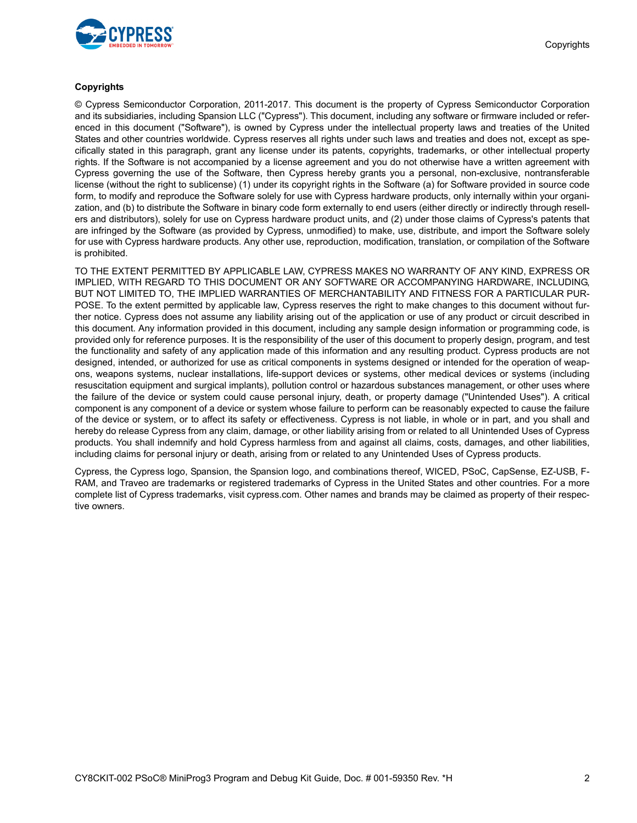

#### **Copyrights**

© Cypress Semiconductor Corporation, 2011-2017. This document is the property of Cypress Semiconductor Corporation and its subsidiaries, including Spansion LLC ("Cypress"). This document, including any software or firmware included or referenced in this document ("Software"), is owned by Cypress under the intellectual property laws and treaties of the United States and other countries worldwide. Cypress reserves all rights under such laws and treaties and does not, except as specifically stated in this paragraph, grant any license under its patents, copyrights, trademarks, or other intellectual property rights. If the Software is not accompanied by a license agreement and you do not otherwise have a written agreement with Cypress governing the use of the Software, then Cypress hereby grants you a personal, non-exclusive, nontransferable license (without the right to sublicense) (1) under its copyright rights in the Software (a) for Software provided in source code form, to modify and reproduce the Software solely for use with Cypress hardware products, only internally within your organization, and (b) to distribute the Software in binary code form externally to end users (either directly or indirectly through resellers and distributors), solely for use on Cypress hardware product units, and (2) under those claims of Cypress's patents that are infringed by the Software (as provided by Cypress, unmodified) to make, use, distribute, and import the Software solely for use with Cypress hardware products. Any other use, reproduction, modification, translation, or compilation of the Software is prohibited.

TO THE EXTENT PERMITTED BY APPLICABLE LAW, CYPRESS MAKES NO WARRANTY OF ANY KIND, EXPRESS OR IMPLIED, WITH REGARD TO THIS DOCUMENT OR ANY SOFTWARE OR ACCOMPANYING HARDWARE, INCLUDING, BUT NOT LIMITED TO, THE IMPLIED WARRANTIES OF MERCHANTABILITY AND FITNESS FOR A PARTICULAR PUR-POSE. To the extent permitted by applicable law, Cypress reserves the right to make changes to this document without further notice. Cypress does not assume any liability arising out of the application or use of any product or circuit described in this document. Any information provided in this document, including any sample design information or programming code, is provided only for reference purposes. It is the responsibility of the user of this document to properly design, program, and test the functionality and safety of any application made of this information and any resulting product. Cypress products are not designed, intended, or authorized for use as critical components in systems designed or intended for the operation of weapons, weapons systems, nuclear installations, life-support devices or systems, other medical devices or systems (including resuscitation equipment and surgical implants), pollution control or hazardous substances management, or other uses where the failure of the device or system could cause personal injury, death, or property damage ("Unintended Uses"). A critical component is any component of a device or system whose failure to perform can be reasonably expected to cause the failure of the device or system, or to affect its safety or effectiveness. Cypress is not liable, in whole or in part, and you shall and hereby do release Cypress from any claim, damage, or other liability arising from or related to all Unintended Uses of Cypress products. You shall indemnify and hold Cypress harmless from and against all claims, costs, damages, and other liabilities, including claims for personal injury or death, arising from or related to any Unintended Uses of Cypress products.

Cypress, the Cypress logo, Spansion, the Spansion logo, and combinations thereof, WICED, PSoC, CapSense, EZ-USB, F-RAM, and Traveo are trademarks or registered trademarks of Cypress in the United States and other countries. For a more complete list of Cypress trademarks, visit cypress.com. Other names and brands may be claimed as property of their respective owners.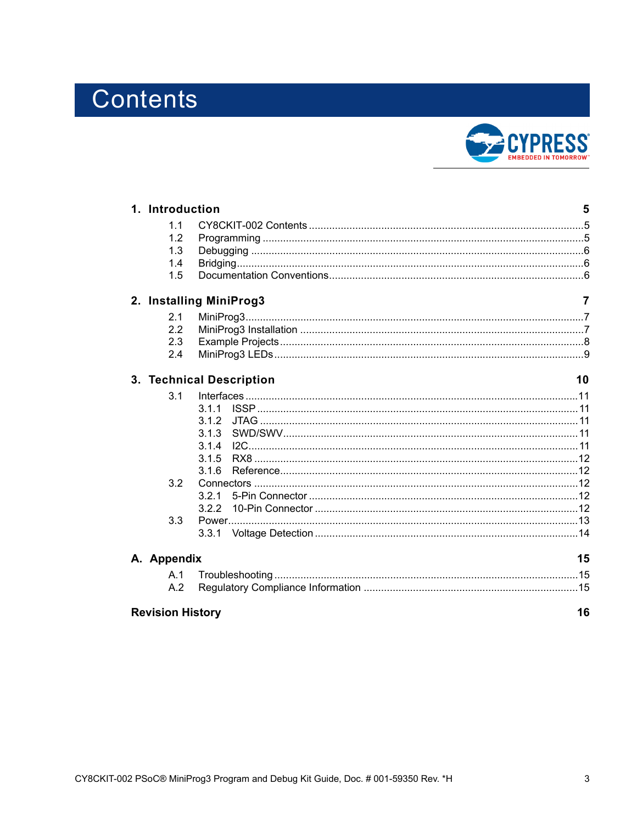## Contents



| 1. Introduction               |                                | 5              |  |  |  |
|-------------------------------|--------------------------------|----------------|--|--|--|
| 1.1                           |                                |                |  |  |  |
| 1.2                           |                                |                |  |  |  |
| 1.3                           |                                |                |  |  |  |
| 1.4                           |                                |                |  |  |  |
| 1.5                           |                                |                |  |  |  |
|                               | 2. Installing MiniProg3        | $\overline{7}$ |  |  |  |
| 2.1                           |                                |                |  |  |  |
| 2.2                           |                                |                |  |  |  |
| 2.3                           |                                |                |  |  |  |
| 2.4                           |                                |                |  |  |  |
|                               | 3. Technical Description<br>10 |                |  |  |  |
| 3.1                           |                                |                |  |  |  |
|                               |                                |                |  |  |  |
|                               | 3.1.2                          |                |  |  |  |
|                               | 3.1.3                          |                |  |  |  |
|                               | 3.1.4                          |                |  |  |  |
|                               | 3.1.5                          |                |  |  |  |
|                               | 3.1.6                          |                |  |  |  |
| 3.2                           |                                |                |  |  |  |
|                               | 3.2.1                          |                |  |  |  |
|                               | 3.2.2                          |                |  |  |  |
| 3.3                           |                                |                |  |  |  |
|                               | 3.3.1                          |                |  |  |  |
| A. Appendix                   | 15                             |                |  |  |  |
|                               |                                |                |  |  |  |
| A.2                           |                                |                |  |  |  |
| <b>Revision History</b><br>16 |                                |                |  |  |  |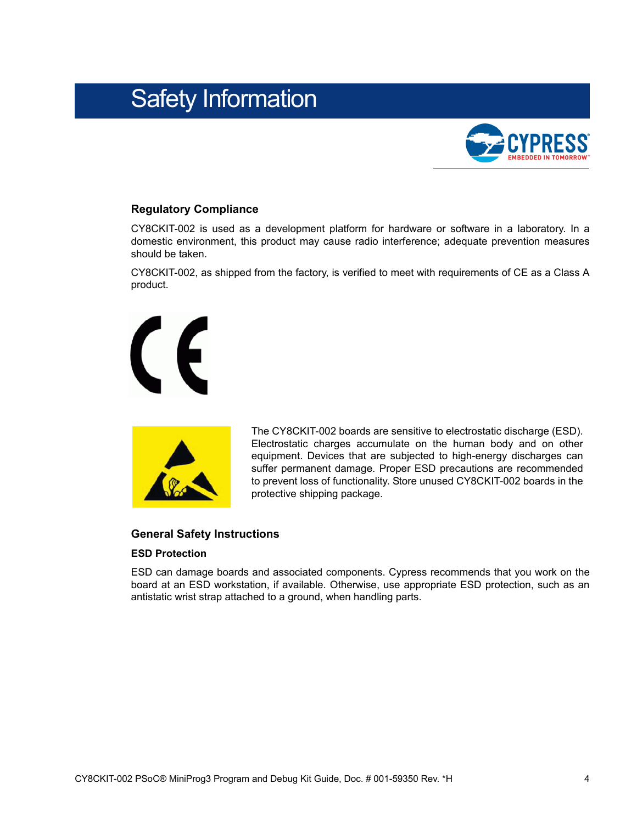## Safety Information



#### **Regulatory Compliance**

CY8CKIT-002 is used as a development platform for hardware or software in a laboratory. In a domestic environment, this product may cause radio interference; adequate prevention measures should be taken.

CY8CKIT-002, as shipped from the factory, is verified to meet with requirements of CE as a Class A product.





The CY8CKIT-002 boards are sensitive to electrostatic discharge (ESD). Electrostatic charges accumulate on the human body and on other equipment. Devices that are subjected to high-energy discharges can suffer permanent damage. Proper ESD precautions are recommended to prevent loss of functionality. Store unused CY8CKIT-002 boards in the protective shipping package.

#### **General Safety Instructions**

#### **ESD Protection**

ESD can damage boards and associated components. Cypress recommends that you work on the board at an ESD workstation, if available. Otherwise, use appropriate ESD protection, such as an antistatic wrist strap attached to a ground, when handling parts.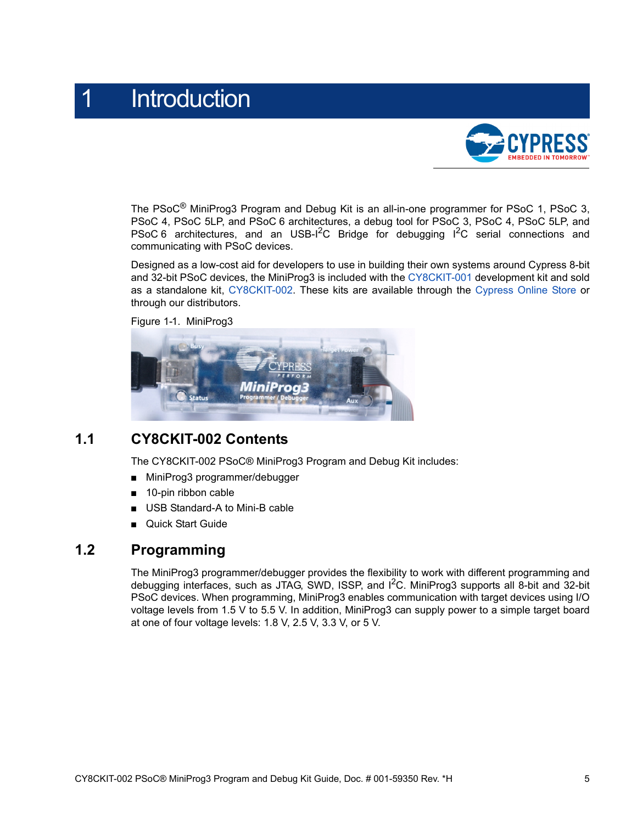## <span id="page-4-0"></span>**Introduction**



The PSoC<sup>®</sup> MiniProg3 Program and Debug Kit is an all-in-one programmer for PSoC 1, PSoC 3, PSoC 4, PSoC 5LP, and PSoC 6 architectures, a debug tool for PSoC 3, PSoC 4, PSoC 5LP, and PSoC 6 architectures, and an USB- $1^2C$  Bridge for debugging  $1^2C$  serial connections and communicating with PSoC devices.

Designed as a low-cost aid for developers to use in building their own systems around Cypress 8-bit and 32-bit PSoC devices, the MiniProg3 is included with the [CY8CKIT-001 d](http://www.cypress.com/go/CY8CKIT-001)evelopment kit and sold as a standalone kit, [CY8CKIT-002.](http://www.cypress.com/CY8CKIT-002) These kits are available through the [Cypress Online Store](http://www.cypress.com/cypress-store) or through our distributors.

Figure 1-1. MiniProg3



### <span id="page-4-1"></span>**1.1 CY8CKIT-002 Contents**

The CY8CKIT-002 PSoC® MiniProg3 Program and Debug Kit includes:

- MiniProg3 programmer/debugger
- 10-pin ribbon cable
- USB Standard-A to Mini-B cable
- **Quick Start Guide**

### <span id="page-4-2"></span>**1.2 Programming**

The MiniProg3 programmer/debugger provides the flexibility to work with different programming and debugging interfaces, such as JTAG, SWD, ISSP, and  $1^2$ C. MiniProg3 supports all 8-bit and 32-bit PSoC devices. When programming, MiniProg3 enables communication with target devices using I/O voltage levels from 1.5 V to 5.5 V. In addition, MiniProg3 can supply power to a simple target board at one of four voltage levels: 1.8 V, 2.5 V, 3.3 V, or 5 V.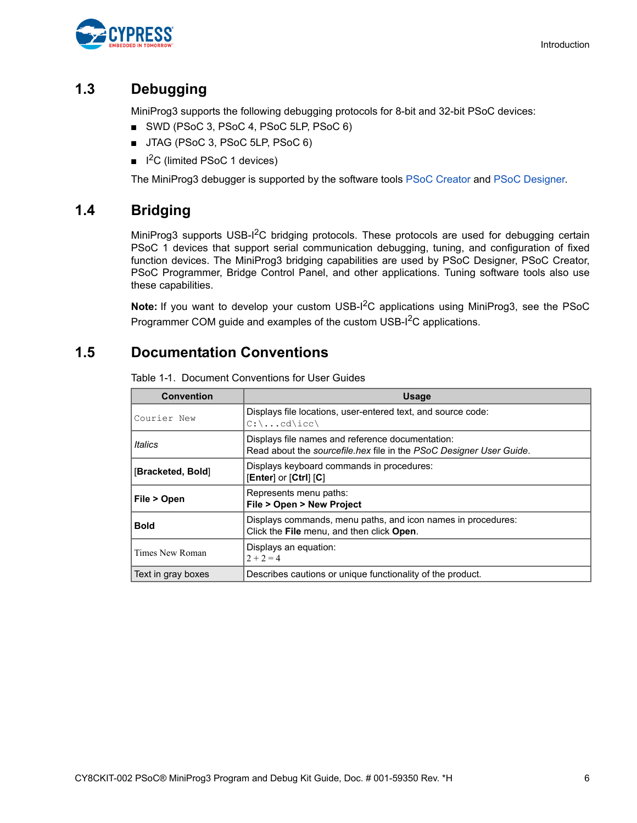

## <span id="page-5-0"></span>**1.3 Debugging**

MiniProg3 supports the following debugging protocols for 8-bit and 32-bit PSoC devices:

- SWD (PSoC 3, PSoC 4, PSoC 5LP, PSoC 6)
- JTAG (PSoC 3, PSoC 5LP, PSoC 6)
- $\blacksquare$  I<sup>2</sup>C (limited PSoC 1 devices)

The MiniProg3 debugger is supported by the software tools [PSoC Creator](http://www.cypress.com/psoccreator) and [PSoC Designer.](http://www.cypress.com/psocdesigner)

## <span id="page-5-1"></span>**1.4 Bridging**

MiniProg3 supports USB-I<sup>2</sup>C bridging protocols. These protocols are used for debugging certain PSoC 1 devices that support serial communication debugging, tuning, and configuration of fixed function devices. The MiniProg3 bridging capabilities are used by PSoC Designer, PSoC Creator, PSoC Programmer, Bridge Control Panel, and other applications. Tuning software tools also use these capabilities.

**Note:** If you want to develop your custom USB-I2C applications using MiniProg3, see the PSoC Programmer COM guide and examples of the custom USB-I<sup>2</sup>C applications.

## <span id="page-5-2"></span>**1.5 Documentation Conventions**

| <b>Convention</b>  | <b>Usage</b>                                                                                                                   |
|--------------------|--------------------------------------------------------------------------------------------------------------------------------|
| Courier New        | Displays file locations, user-entered text, and source code:<br>$C:\ldots$ cd\icc\                                             |
| Italics            | Displays file names and reference documentation:<br>Read about the <i>sourcefile hex</i> file in the PSoC Designer User Guide. |
| [Bracketed, Bold]  | Displays keyboard commands in procedures:<br>$[Enter]$ or $[Ctrl]$ $[C]$                                                       |
| File > Open        | Represents menu paths:<br>File > Open > New Project                                                                            |
| <b>Bold</b>        | Displays commands, menu paths, and icon names in procedures:<br>Click the File menu, and then click Open.                      |
| Times New Roman    | Displays an equation:<br>$2 + 2 = 4$                                                                                           |
| Text in gray boxes | Describes cautions or unique functionality of the product.                                                                     |

Table 1-1. Document Conventions for User Guides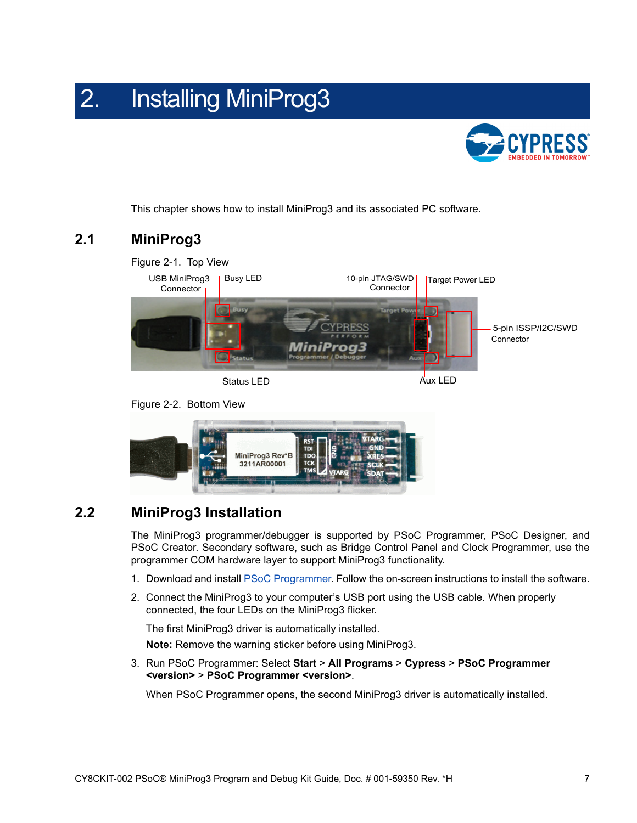## <span id="page-6-0"></span>2. Installing MiniProg3



This chapter shows how to install MiniProg3 and its associated PC software.

## <span id="page-6-1"></span>**2.1 MiniProg3**



Figure 2-2. Bottom View



## <span id="page-6-2"></span>**2.2 MiniProg3 Installation**

The MiniProg3 programmer/debugger is supported by PSoC Programmer, PSoC Designer, and PSoC Creator. Secondary software, such as Bridge Control Panel and Clock Programmer, use the programmer COM hardware layer to support MiniProg3 functionality.

- 1. Download and install [PSoC Programmer.](www.cypress.com/psocprogrammer) Follow the on-screen instructions to install the software.
- 2. Connect the MiniProg3 to your computer's USB port using the USB cable. When properly connected, the four LEDs on the MiniProg3 flicker.

The first MiniProg3 driver is automatically installed.

**Note:** Remove the warning sticker before using MiniProg3.

3. Run PSoC Programmer: Select **Start** > **All Programs** > **Cypress** > **PSoC Programmer <version>** > **PSoC Programmer <version>**.

When PSoC Programmer opens, the second MiniProg3 driver is automatically installed.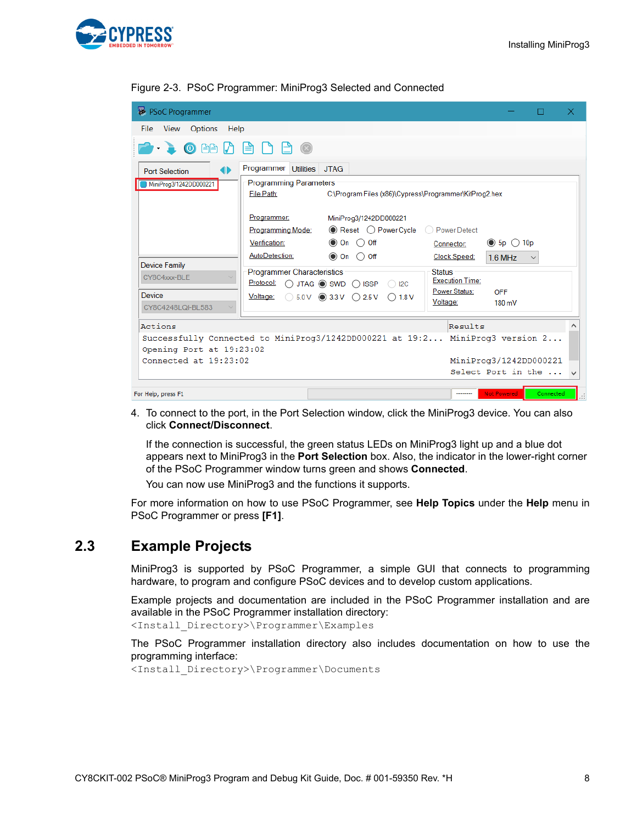

| PSoC Programmer                                                                                                                                                                                                                                                                                                                                     |                                         |                                                                              |                        |                                           |           | ×. |  |
|-----------------------------------------------------------------------------------------------------------------------------------------------------------------------------------------------------------------------------------------------------------------------------------------------------------------------------------------------------|-----------------------------------------|------------------------------------------------------------------------------|------------------------|-------------------------------------------|-----------|----|--|
| File View Options Help                                                                                                                                                                                                                                                                                                                              |                                         |                                                                              |                        |                                           |           |    |  |
| $\begin{picture}(16,10) \put(0,0){\line(1,0){10}} \put(10,0){\line(1,0){10}} \put(10,0){\line(1,0){10}} \put(10,0){\line(1,0){10}} \put(10,0){\line(1,0){10}} \put(10,0){\line(1,0){10}} \put(10,0){\line(1,0){10}} \put(10,0){\line(1,0){10}} \put(10,0){\line(1,0){10}} \put(10,0){\line(1,0){10}} \put(10,0){\line(1,0){10}} \put(10,0){\line(1$ |                                         |                                                                              |                        |                                           |           |    |  |
| ન⊳<br><b>Port Selection</b>                                                                                                                                                                                                                                                                                                                         | Programmer Utilities JTAG               |                                                                              |                        |                                           |           |    |  |
| MiniProg3/1242DD000221                                                                                                                                                                                                                                                                                                                              | <b>Programming Parameters</b>           |                                                                              |                        |                                           |           |    |  |
|                                                                                                                                                                                                                                                                                                                                                     | File Path:                              | C:\Program Files (x86)\Cypress\Programmer\KitProg2.hex                       |                        |                                           |           |    |  |
|                                                                                                                                                                                                                                                                                                                                                     |                                         |                                                                              |                        |                                           |           |    |  |
|                                                                                                                                                                                                                                                                                                                                                     | Programmer:                             | MiniProg3/1242DD000221                                                       |                        |                                           |           |    |  |
|                                                                                                                                                                                                                                                                                                                                                     | <b>Programming Mode:</b>                | $\odot$ Reset $\odot$ Power Cycle                                            | ◯ Power Detect         |                                           |           |    |  |
|                                                                                                                                                                                                                                                                                                                                                     | Verification:                           | $\odot$ On $\odot$ Off                                                       | Connector:             | $\circledcirc$ 5p $\circlearrowright$ 10p |           |    |  |
|                                                                                                                                                                                                                                                                                                                                                     | AutoDetection:                          | $\circledcirc$ On $\circlearrowright$ Off                                    | Clock Speed:           | 1.6 MHz                                   |           |    |  |
| <b>Device Family</b>                                                                                                                                                                                                                                                                                                                                |                                         |                                                                              | <b>Status</b>          |                                           |           |    |  |
| CY8C4xxx-BLE                                                                                                                                                                                                                                                                                                                                        | Programmer Characteristics<br>Protocol: |                                                                              | <b>Execution Time:</b> |                                           |           |    |  |
|                                                                                                                                                                                                                                                                                                                                                     |                                         | $\bigcirc$ JTAG $\circledcirc$ SWD $\bigcirc$ ISSP $\bigcirc$ I2C            | <b>Power Status:</b>   | OFF                                       |           |    |  |
| <b>Device</b>                                                                                                                                                                                                                                                                                                                                       |                                         | Voltage: $\bigcirc$ 5.0 V $\bigcirc$ 3.3 V $\bigcirc$ 2.5 V $\bigcirc$ 1.8 V | Voltage:               | 180 mV                                    |           |    |  |
| CY8C4248LQI-BL583                                                                                                                                                                                                                                                                                                                                   |                                         |                                                                              |                        |                                           |           |    |  |
| Actions                                                                                                                                                                                                                                                                                                                                             | Results                                 |                                                                              |                        |                                           |           |    |  |
| Successfully Connected to MiniProg3/1242DD000221 at 19:2 MiniProg3 version 2                                                                                                                                                                                                                                                                        |                                         |                                                                              |                        |                                           |           |    |  |
| Opening Port at 19:23:02                                                                                                                                                                                                                                                                                                                            |                                         |                                                                              |                        |                                           |           |    |  |
| MiniProg3/1242DD000221<br>Connected at $19:23:02$                                                                                                                                                                                                                                                                                                   |                                         |                                                                              |                        |                                           |           |    |  |
|                                                                                                                                                                                                                                                                                                                                                     |                                         |                                                                              | Select Port in the  v  |                                           |           |    |  |
|                                                                                                                                                                                                                                                                                                                                                     |                                         |                                                                              |                        |                                           |           |    |  |
| For Help, press F1                                                                                                                                                                                                                                                                                                                                  |                                         |                                                                              | --------               | <b>Not Powered</b>                        | Connected |    |  |

<span id="page-7-1"></span>Figure 2-3. PSoC Programmer: MiniProg3 Selected and Connected

4. To connect to the port, in the Port Selection window, click the MiniProg3 device. You can also click **Connect/Disconnect**.

If the connection is successful, the green status LEDs on MiniProg3 light up and a blue dot appears next to MiniProg3 in the **Port Selection** box. Also, the indicator in the lower-right corner of the PSoC Programmer window turns green and shows **Connected**.

You can now use MiniProg3 and the functions it supports.

For more information on how to use PSoC Programmer, see **Help Topics** under the **Help** menu in PSoC Programmer or press **[F1]**.

### <span id="page-7-0"></span>**2.3 Example Projects**

MiniProg3 is supported by PSoC Programmer, a simple GUI that connects to programming hardware, to program and configure PSoC devices and to develop custom applications.

Example projects and documentation are included in the PSoC Programmer installation and are available in the PSoC Programmer installation directory:

<Install\_Directory>\Programmer\Examples

The PSoC Programmer installation directory also includes documentation on how to use the programming interface:

<Install\_Directory>\Programmer\Documents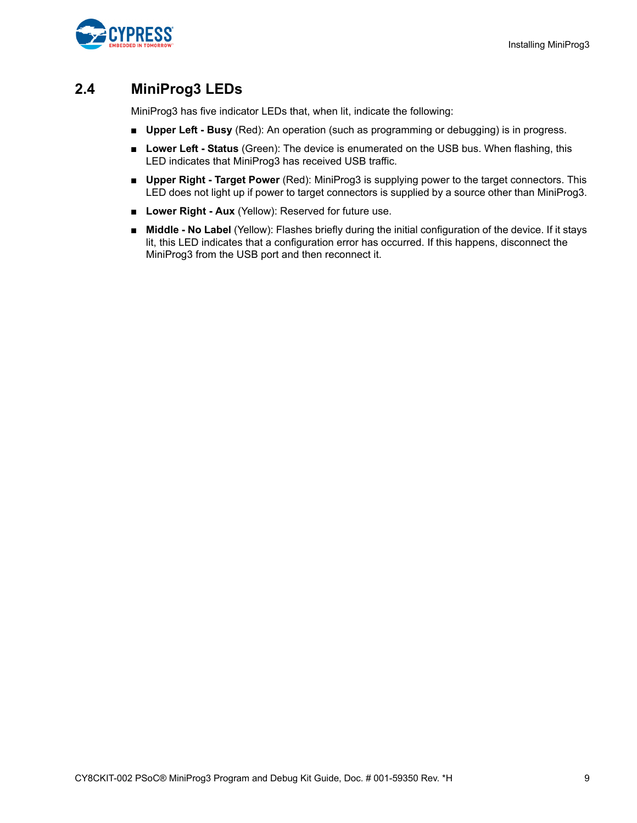

## <span id="page-8-0"></span>**2.4 MiniProg3 LEDs**

MiniProg3 has five indicator LEDs that, when lit, indicate the following:

- **Upper Left Busy** (Red): An operation (such as programming or debugging) is in progress.
- Lower Left Status (Green): The device is enumerated on the USB bus. When flashing, this LED indicates that MiniProg3 has received USB traffic.
- **Upper Right Target Power** (Red): MiniProg3 is supplying power to the target connectors. This LED does not light up if power to target connectors is supplied by a source other than MiniProg3.
- Lower Right Aux (Yellow): Reserved for future use.
- **Middle No Label** (Yellow): Flashes briefly during the initial configuration of the device. If it stays lit, this LED indicates that a configuration error has occurred. If this happens, disconnect the MiniProg3 from the USB port and then reconnect it.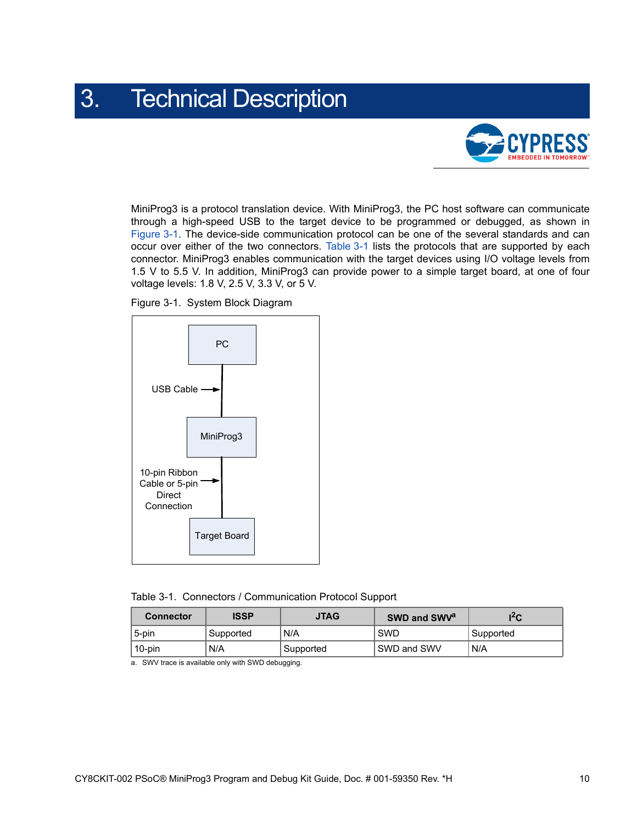## <span id="page-9-3"></span><span id="page-9-0"></span>3. Technical Description



MiniProg3 is a protocol translation device. With MiniProg3, the PC host software can communicate through a high-speed USB to the target device to be programmed or debugged, as shown in [Figure 3-1.](#page-9-1) The device-side communication protocol can be one of the several standards and can occur over either of the two connectors. [Table 3-1](#page-9-2) lists the protocols that are supported by each connector. MiniProg3 enables communication with the target devices using I/O voltage levels from 1.5 V to 5.5 V. In addition, MiniProg3 can provide power to a simple target board, at one of four voltage levels: 1.8 V, 2.5 V, 3.3 V, or 5 V.



<span id="page-9-1"></span>

<span id="page-9-2"></span>

|  |  | Table 3-1. Connectors / Communication Protocol Support |  |  |
|--|--|--------------------------------------------------------|--|--|
|--|--|--------------------------------------------------------|--|--|

| <b>Connector</b> | <b>ISSP</b> | <b>JTAG</b> | SWD and SWV <sup>a</sup> | l <sup>2</sup> C       |
|------------------|-------------|-------------|--------------------------|------------------------|
| 5-pin            | ' Supported | N/A         | SWD                      | <sup>1</sup> Supported |
| 10-pin           | N/A         | Supported   | SWD and SWV              | N/A                    |

a. SWV trace is available only with SWD debugging.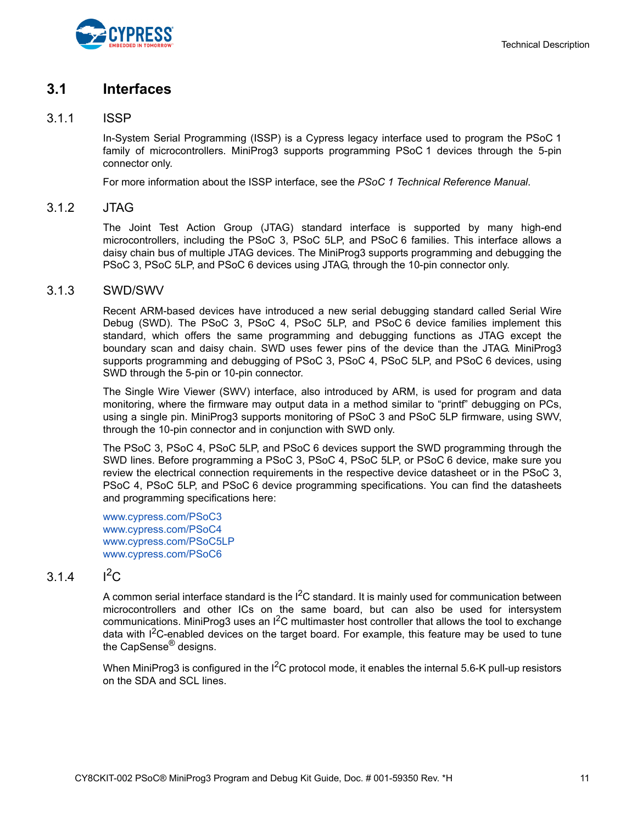

### <span id="page-10-0"></span>**3.1 Interfaces**

#### <span id="page-10-1"></span>3.1.1 ISSP

In-System Serial Programming (ISSP) is a Cypress legacy interface used to program the PSoC 1 family of microcontrollers. MiniProg3 supports programming PSoC 1 devices through the 5-pin connector only.

For more information about the ISSP interface, see the *PSoC 1 Technical Reference Manual*.

#### <span id="page-10-2"></span>3.1.2 JTAG

The Joint Test Action Group (JTAG) standard interface is supported by many high-end microcontrollers, including the PSoC 3, PSoC 5LP, and PSoC 6 families. This interface allows a daisy chain bus of multiple JTAG devices. The MiniProg3 supports programming and debugging the PSoC 3, PSoC 5LP, and PSoC 6 devices using JTAG, through the 10-pin connector only.

#### <span id="page-10-3"></span>3.1.3 SWD/SWV

Recent ARM-based devices have introduced a new serial debugging standard called Serial Wire Debug (SWD). The PSoC 3, PSoC 4, PSoC 5LP, and PSoC 6 device families implement this standard, which offers the same programming and debugging functions as JTAG except the boundary scan and daisy chain. SWD uses fewer pins of the device than the JTAG. MiniProg3 supports programming and debugging of PSoC 3, PSoC 4, PSoC 5LP, and PSoC 6 devices, using SWD through the 5-pin or 10-pin connector.

The Single Wire Viewer (SWV) interface, also introduced by ARM, is used for program and data monitoring, where the firmware may output data in a method similar to "printf" debugging on PCs, using a single pin. MiniProg3 supports monitoring of PSoC 3 and PSoC 5LP firmware, using SWV, through the 10-pin connector and in conjunction with SWD only.

The PSoC 3, PSoC 4, PSoC 5LP, and PSoC 6 devices support the SWD programming through the SWD lines. Before programming a PSoC 3, PSoC 4, PSoC 5LP, or PSoC 6 device, make sure you review the electrical connection requirements in the respective device datasheet or in the PSoC 3, PSoC 4, PSoC 5LP, and PSoC 6 device programming specifications. You can find the datasheets and programming specifications here:

[www.cypress.com/PSoC3](http://www.cypress.com/PSoC3) [www.cypress.com/PSoC4](http://www.cypress.com/PSoC4) [www.cypress.com/PSoC5LP](http://www.cypress.com/PSoC5LP) [www.cypress.com/PSoC6](http://www.cypress.com/PSoC6)

### <span id="page-10-4"></span>3.1.4  $I^2C$

A common serial interface standard is the I<sup>2</sup>C standard. It is mainly used for communication between microcontrollers and other ICs on the same board, but can also be used for intersystem communications. MiniProg3 uses an  $I^2C$  multimaster host controller that allows the tool to exchange data with  $1^2$ C-enabled devices on the target board. For example, this feature may be used to tune the CapSense<sup>®</sup> designs.

When MiniProg3 is configured in the  $I^2C$  protocol mode, it enables the internal 5.6-K pull-up resistors on the SDA and SCL lines.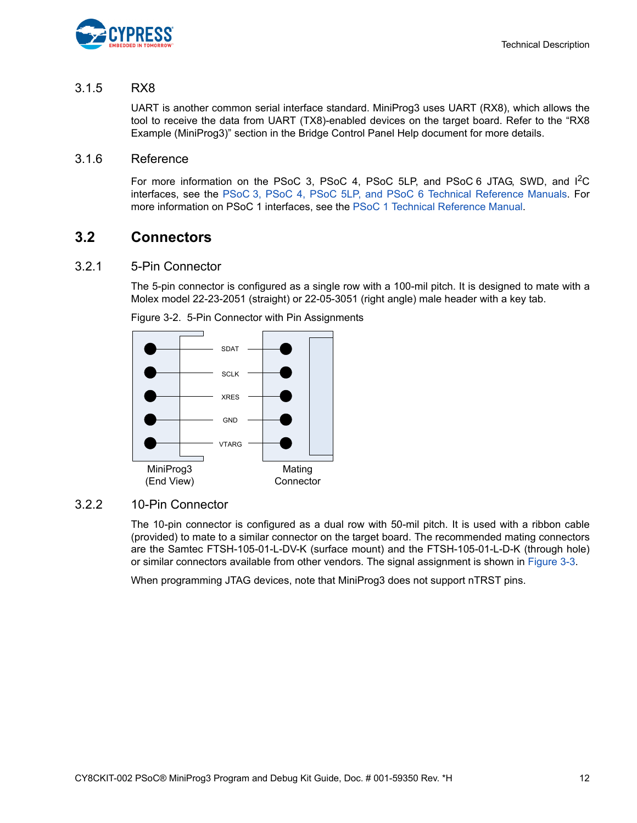

#### <span id="page-11-0"></span>3.1.5 RX8

<span id="page-11-5"></span>UART is another common serial interface standard. MiniProg3 uses UART (RX8), which allows the tool to receive the data from UART (TX8)-enabled devices on the target board. Refer to the "RX8 Example (MiniProg3)" section in the Bridge Control Panel Help document for more details.

#### <span id="page-11-1"></span>3.1.6 Reference

For more information on the PSoC 3, PSoC 4, PSoC 5LP, and PSoC 6 JTAG, SWD, and I<sup>2</sup>C interfaces, see the [PSoC 3, PSoC 4, PSoC 5LP, and PSoC 6 Technical Reference Manuals](http://www.cypress.com/search/all?f[0]=meta_type%3Atechnical_documents&f[1]=resource_meta_type%3A583&f[2]=field_related_products%3A1292&f[3]=field_related_products%3A1277). For more information on PSoC 1 interfaces, see the [PSoC 1 Technical Reference Manual.](http://www.cypress.com/search/all?f[0]=meta_type%3Atechnical_documents&f[1]=resource_meta_type%3A583&f[2]=field_related_products%3A1278)

### <span id="page-11-2"></span>**3.2 Connectors**

#### <span id="page-11-3"></span>3.2.1 5-Pin Connector

The 5-pin connector is configured as a single row with a 100-mil pitch. It is designed to mate with a Molex model 22-23-2051 (straight) or 22-05-3051 (right angle) male header with a key tab.





### <span id="page-11-4"></span>3.2.2 10-Pin Connector

The 10-pin connector is configured as a dual row with 50-mil pitch. It is used with a ribbon cable (provided) to mate to a similar connector on the target board. The recommended mating connectors are the Samtec FTSH-105-01-L-DV-K (surface mount) and the FTSH-105-01-L-D-K (through hole) or similar connectors available from other vendors. The signal assignment is shown in [Figure 3-3](#page-12-1).

When programming JTAG devices, note that MiniProg3 does not support nTRST pins.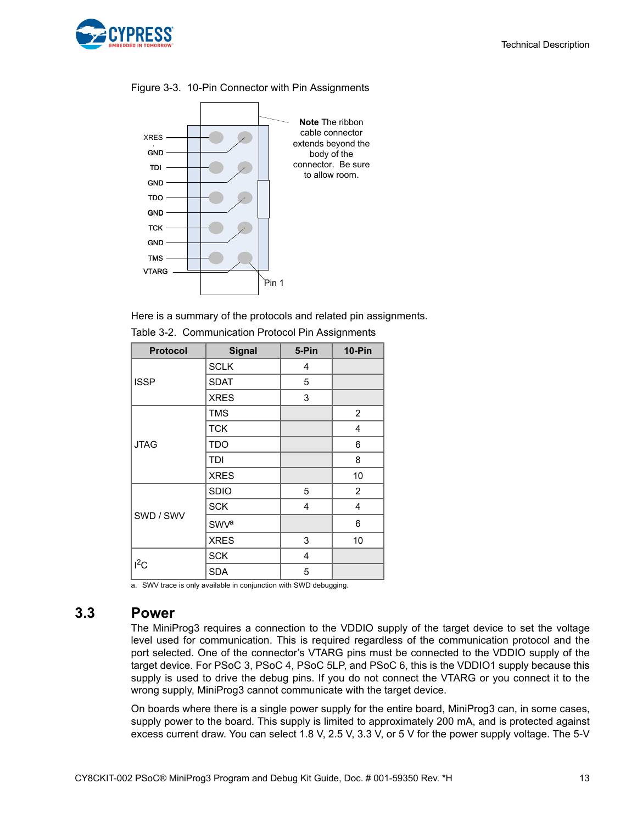

#### XRES TDI TDO **TCK** TMS **VTARG GND** GND GND **GND** TCK<br>GND<br>TARG<br>TARG **Note** The ribbon cable connector extends beyond the body of the connector. Be sure to allow room.

<span id="page-12-1"></span>Figure 3-3. 10-Pin Connector with Pin Assignments

Here is a summary of the protocols and related pin assignments.

| <b>Protocol</b> | <b>Signal</b>          | 5-Pin | <b>10-Pin</b>  |
|-----------------|------------------------|-------|----------------|
|                 | <b>SCLK</b>            | 4     |                |
| <b>ISSP</b>     | <b>SDAT</b>            | 5     |                |
|                 | <b>XRES</b>            | 3     |                |
|                 | <b>TMS</b>             |       | 2              |
|                 | <b>TCK</b>             |       | $\overline{4}$ |
| <b>JTAG</b>     | <b>TDO</b>             |       | 6              |
|                 | TDI                    |       | 8              |
|                 | <b>XRES</b>            |       | 10             |
|                 | <b>SDIO</b>            | 5     | $\overline{2}$ |
|                 | <b>SCK</b>             | 4     | 4              |
| SWD / SWV       | <b>SWV<sup>a</sup></b> |       | 6              |
|                 | <b>XRES</b>            | 3     | 10             |
| $I^2C$          | <b>SCK</b>             | 4     |                |
|                 | <b>SDA</b>             | 5     |                |

| Table 3-2. Communication Protocol Pin Assignments |  |  |
|---------------------------------------------------|--|--|
|                                                   |  |  |

<span id="page-12-2"></span>a. SWV trace is only available in conjunction with SWD debugging.

### <span id="page-12-0"></span>**3.3 Power**

The MiniProg3 requires a connection to the VDDIO supply of the target device to set the voltage level used for communication. This is required regardless of the communication protocol and the port selected. One of the connector's VTARG pins must be connected to the VDDIO supply of the target device. For PSoC 3, PSoC 4, PSoC 5LP, and PSoC 6, this is the VDDIO1 supply because this supply is used to drive the debug pins. If you do not connect the VTARG or you connect it to the wrong supply, MiniProg3 cannot communicate with the target device.

On boards where there is a single power supply for the entire board, MiniProg3 can, in some cases, supply power to the board. This supply is limited to approximately 200 mA, and is protected against excess current draw. You can select 1.8 V, 2.5 V, 3.3 V, or 5 V for the power supply voltage. The 5-V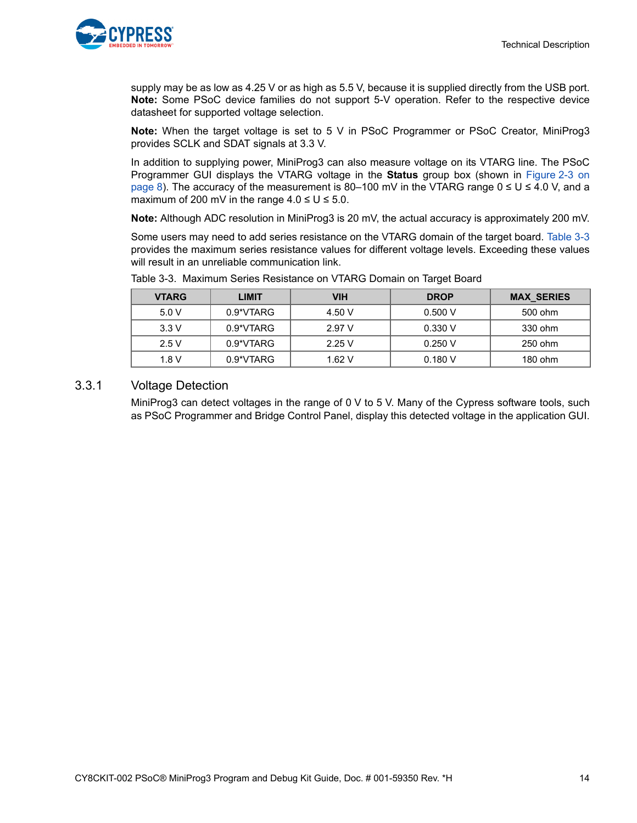

supply may be as low as 4.25 V or as high as 5.5 V, because it is supplied directly from the USB port. **Note:** Some PSoC device families do not support 5-V operation. Refer to the respective device datasheet for supported voltage selection.

**Note:** When the target voltage is set to 5 V in PSoC Programmer or PSoC Creator, MiniProg3 provides SCLK and SDAT signals at 3.3 V.

In addition to supplying power, MiniProg3 can also measure voltage on its VTARG line. The PSoC Programmer GUI displays the VTARG voltage in the **Status** group box (shown in [Figure 2-3 on](#page-7-1) [page 8](#page-7-1)). The accuracy of the measurement is 80–100 mV in the VTARG range  $0 ≤ U ≤ 4.0 V$ , and a maximum of 200 mV in the range  $4.0 \le U \le 5.0$ .

**Note:** Although ADC resolution in MiniProg3 is 20 mV, the actual accuracy is approximately 200 mV.

Some users may need to add series resistance on the VTARG domain of the target board. [Table 3-3](#page-13-1) provides the maximum series resistance values for different voltage levels. Exceeding these values will result in an unreliable communication link.

| <b>VTARG</b> | <b>LIMIT</b> | VIH    | <b>DROP</b> | <b>MAX SERIES</b> |
|--------------|--------------|--------|-------------|-------------------|
| 5.0V         | 0.9*VTARG    | 4.50 V | 0.500V      | 500 ohm           |
| 3.3V         | 0.9*VTARG    | 2.97V  | 0.330V      | 330 ohm           |
| 2.5V         | 0.9*VTARG    | 2.25V  | 0.250V      | 250 ohm           |
| 1.8 V        | 0.9*VTARG    | 1.62V  | 0.180V      | $180$ ohm         |

<span id="page-13-1"></span>Table 3-3. Maximum Series Resistance on VTARG Domain on Target Board

#### <span id="page-13-0"></span>3.3.1 Voltage Detection

MiniProg3 can detect voltages in the range of 0 V to 5 V. Many of the Cypress software tools, such as PSoC Programmer and Bridge Control Panel, display this detected voltage in the application GUI.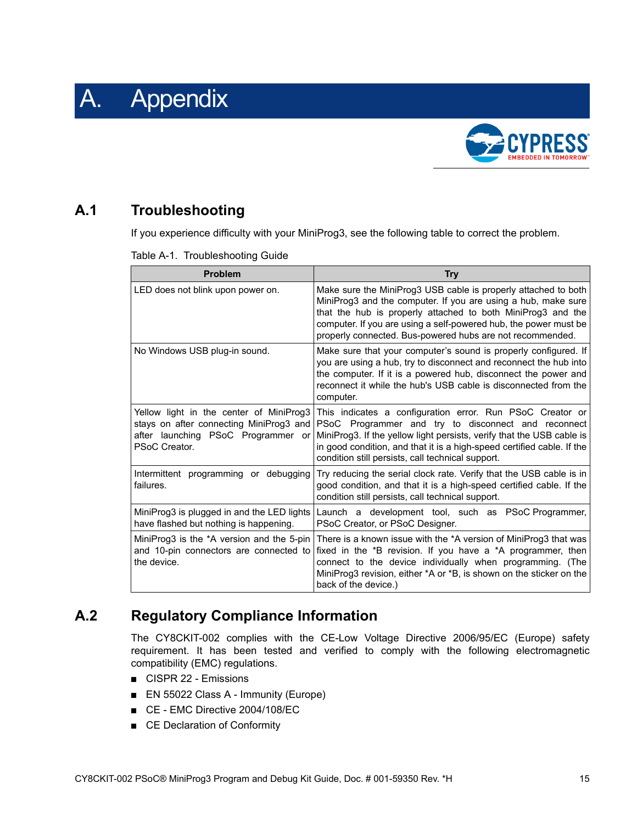<span id="page-14-0"></span>



## <span id="page-14-1"></span>**A.1 Troubleshooting**

If you experience difficulty with your MiniProg3, see the following table to correct the problem.

| Table A-1. Troubleshooting Guide |  |
|----------------------------------|--|
|                                  |  |

| <b>Problem</b>                                                                                                                            | <b>Try</b>                                                                                                                                                                                                                                                                                                                      |
|-------------------------------------------------------------------------------------------------------------------------------------------|---------------------------------------------------------------------------------------------------------------------------------------------------------------------------------------------------------------------------------------------------------------------------------------------------------------------------------|
| LED does not blink upon power on.                                                                                                         | Make sure the MiniProg3 USB cable is properly attached to both<br>MiniProg3 and the computer. If you are using a hub, make sure<br>that the hub is properly attached to both MiniProg3 and the<br>computer. If you are using a self-powered hub, the power must be<br>properly connected. Bus-powered hubs are not recommended. |
| No Windows USB plug-in sound.                                                                                                             | Make sure that your computer's sound is properly configured. If<br>you are using a hub, try to disconnect and reconnect the hub into<br>the computer. If it is a powered hub, disconnect the power and<br>reconnect it while the hub's USB cable is disconnected from the<br>computer.                                          |
| Yellow light in the center of MiniProg3<br>stays on after connecting MiniProg3 and<br>after launching PSoC Programmer or<br>PSoC Creator. | This indicates a configuration error. Run PSoC Creator or<br>PSoC Programmer and try to disconnect and reconnect<br>MiniProg3. If the yellow light persists, verify that the USB cable is<br>in good condition, and that it is a high-speed certified cable. If the<br>condition still persists, call technical support.        |
| Intermittent programming or debugging<br>failures.                                                                                        | Try reducing the serial clock rate. Verify that the USB cable is in<br>good condition, and that it is a high-speed certified cable. If the<br>condition still persists, call technical support.                                                                                                                                 |
| MiniProg3 is plugged in and the LED lights<br>have flashed but nothing is happening.                                                      | Launch a development tool, such as PSoC Programmer,<br>PSoC Creator, or PSoC Designer.                                                                                                                                                                                                                                          |
| MiniProg3 is the *A version and the 5-pin<br>and 10-pin connectors are connected to<br>the device.                                        | There is a known issue with the *A version of MiniProg3 that was<br>fixed in the *B revision. If you have a *A programmer, then<br>connect to the device individually when programming. (The<br>MiniProg3 revision, either *A or *B, is shown on the sticker on the<br>back of the device.)                                     |

## <span id="page-14-2"></span>**A.2 Regulatory Compliance Information**

The CY8CKIT-002 complies with the CE-Low Voltage Directive 2006/95/EC (Europe) safety requirement. It has been tested and verified to comply with the following electromagnetic compatibility (EMC) regulations.

- CISPR 22 Emissions
- EN 55022 Class A Immunity (Europe)
- CE EMC Directive 2004/108/EC
- CE Declaration of Conformity